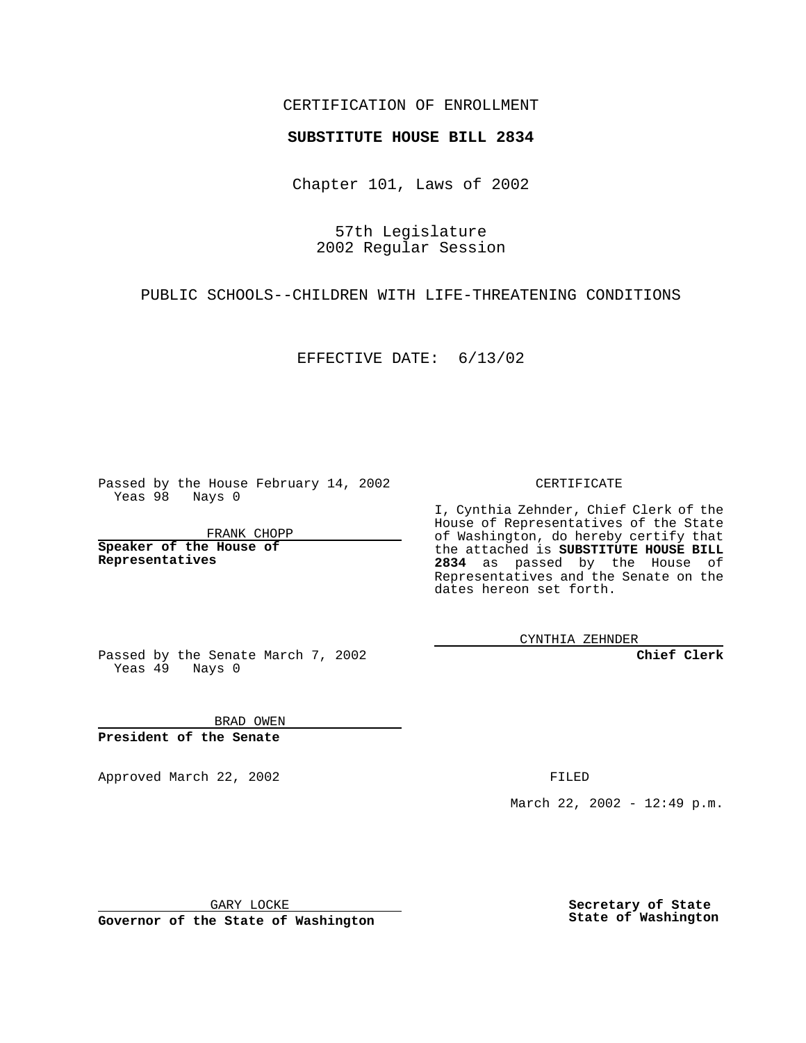## CERTIFICATION OF ENROLLMENT

## **SUBSTITUTE HOUSE BILL 2834**

Chapter 101, Laws of 2002

57th Legislature 2002 Regular Session

PUBLIC SCHOOLS--CHILDREN WITH LIFE-THREATENING CONDITIONS

EFFECTIVE DATE: 6/13/02

Passed by the House February 14, 2002 Yeas 98 Nays 0

FRANK CHOPP

**Speaker of the House of Representatives**

CERTIFICATE

I, Cynthia Zehnder, Chief Clerk of the House of Representatives of the State of Washington, do hereby certify that the attached is **SUBSTITUTE HOUSE BILL 2834** as passed by the House of Representatives and the Senate on the dates hereon set forth.

CYNTHIA ZEHNDER

**Chief Clerk**

Passed by the Senate March 7, 2002 Yeas  $49$  Nays 0

BRAD OWEN **President of the Senate**

Approved March 22, 2002 **FILED** 

March 22, 2002 - 12:49 p.m.

GARY LOCKE

**Governor of the State of Washington**

**Secretary of State State of Washington**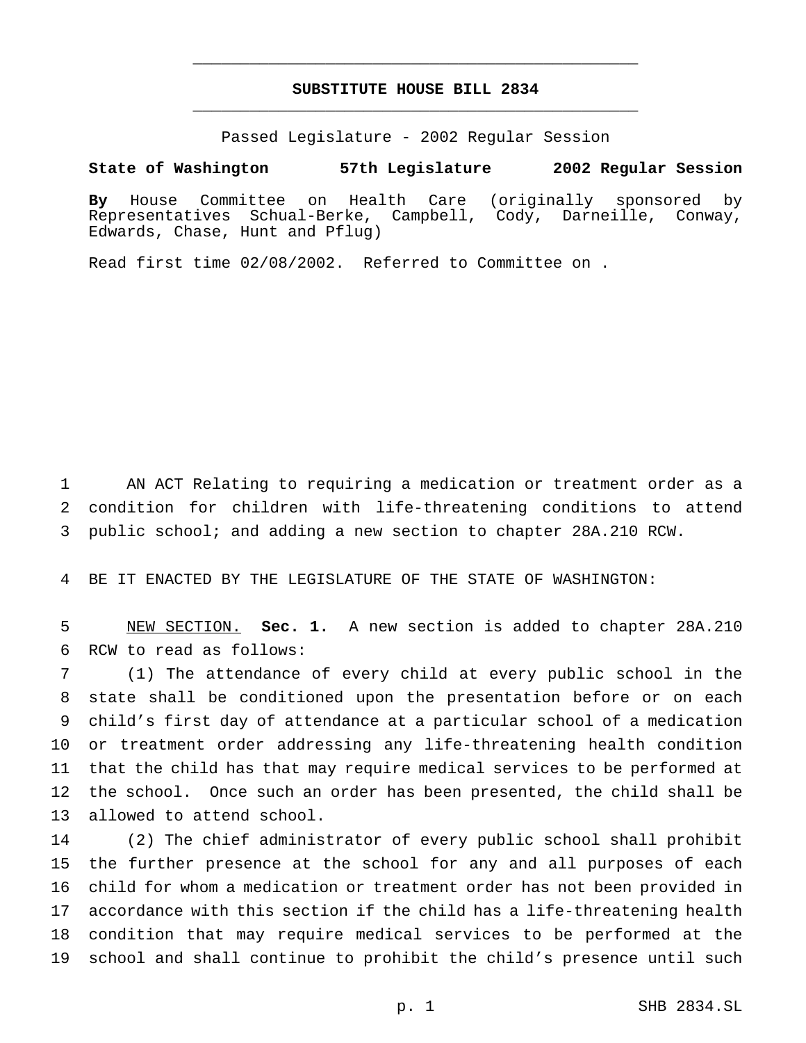## **SUBSTITUTE HOUSE BILL 2834** \_\_\_\_\_\_\_\_\_\_\_\_\_\_\_\_\_\_\_\_\_\_\_\_\_\_\_\_\_\_\_\_\_\_\_\_\_\_\_\_\_\_\_\_\_\_\_

\_\_\_\_\_\_\_\_\_\_\_\_\_\_\_\_\_\_\_\_\_\_\_\_\_\_\_\_\_\_\_\_\_\_\_\_\_\_\_\_\_\_\_\_\_\_\_

Passed Legislature - 2002 Regular Session

## **State of Washington 57th Legislature 2002 Regular Session**

**By** House Committee on Health Care (originally sponsored by Representatives Schual-Berke, Campbell, Cody, Darneille, Conway, Edwards, Chase, Hunt and Pflug)

Read first time 02/08/2002. Referred to Committee on .

 AN ACT Relating to requiring a medication or treatment order as a condition for children with life-threatening conditions to attend public school; and adding a new section to chapter 28A.210 RCW.

BE IT ENACTED BY THE LEGISLATURE OF THE STATE OF WASHINGTON:

 NEW SECTION. **Sec. 1.** A new section is added to chapter 28A.210 RCW to read as follows:

 (1) The attendance of every child at every public school in the state shall be conditioned upon the presentation before or on each child's first day of attendance at a particular school of a medication or treatment order addressing any life-threatening health condition that the child has that may require medical services to be performed at the school. Once such an order has been presented, the child shall be allowed to attend school.

 (2) The chief administrator of every public school shall prohibit the further presence at the school for any and all purposes of each child for whom a medication or treatment order has not been provided in accordance with this section if the child has a life-threatening health condition that may require medical services to be performed at the school and shall continue to prohibit the child's presence until such